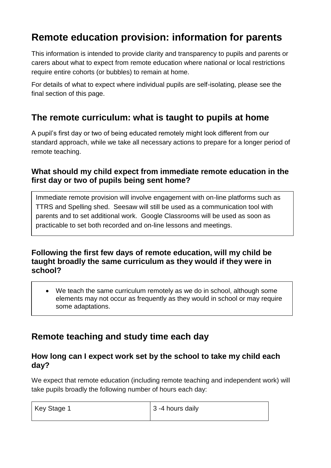# **Remote education provision: information for parents**

This information is intended to provide clarity and transparency to pupils and parents or carers about what to expect from remote education where national or local restrictions require entire cohorts (or bubbles) to remain at home.

For details of what to expect where individual pupils are self-isolating, please see the final section of this page.

## **The remote curriculum: what is taught to pupils at home**

A pupil's first day or two of being educated remotely might look different from our standard approach, while we take all necessary actions to prepare for a longer period of remote teaching.

### **What should my child expect from immediate remote education in the first day or two of pupils being sent home?**

Immediate remote provision will involve engagement with on-line platforms such as TTRS and Spelling shed. Seesaw will still be used as a communication tool with parents and to set additional work. Google Classrooms will be used as soon as practicable to set both recorded and on-line lessons and meetings.

### **Following the first few days of remote education, will my child be taught broadly the same curriculum as they would if they were in school?**

 We teach the same curriculum remotely as we do in school, although some elements may not occur as frequently as they would in school or may require some adaptations.

## **Remote teaching and study time each day**

### **How long can I expect work set by the school to take my child each day?**

We expect that remote education (including remote teaching and independent work) will take pupils broadly the following number of hours each day:

| Key Stage 1 | $\vert$ 3 -4 hours daily |
|-------------|--------------------------|
|             |                          |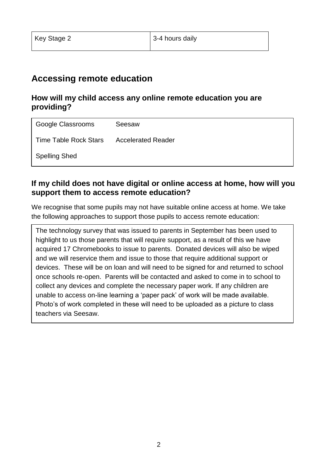## **Accessing remote education**

### **How will my child access any online remote education you are providing?**

| Google Classrooms     | Seesaw                    |
|-----------------------|---------------------------|
| Time Table Rock Stars | <b>Accelerated Reader</b> |
| <b>Spelling Shed</b>  |                           |

### **If my child does not have digital or online access at home, how will you support them to access remote education?**

We recognise that some pupils may not have suitable online access at home. We take the following approaches to support those pupils to access remote education:

The technology survey that was issued to parents in September has been used to highlight to us those parents that will require support, as a result of this we have acquired 17 Chromebooks to issue to parents. Donated devices will also be wiped and we will reservice them and issue to those that require additional support or devices. These will be on loan and will need to be signed for and returned to school once schools re-open. Parents will be contacted and asked to come in to school to collect any devices and complete the necessary paper work. If any children are unable to access on-line learning a 'paper pack' of work will be made available. Photo's of work completed in these will need to be uploaded as a picture to class teachers via Seesaw.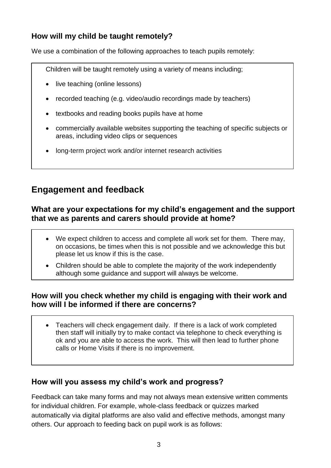### **How will my child be taught remotely?**

We use a combination of the following approaches to teach pupils remotely:

Children will be taught remotely using a variety of means including;

- live teaching (online lessons)
- recorded teaching (e.g. video/audio recordings made by teachers)
- textbooks and reading books pupils have at home
- commercially available websites supporting the teaching of specific subjects or areas, including video clips or sequences
- long-term project work and/or internet research activities

## **Engagement and feedback**

### **What are your expectations for my child's engagement and the support that we as parents and carers should provide at home?**

- We expect children to access and complete all work set for them. There may, on occasions, be times when this is not possible and we acknowledge this but please let us know if this is the case.
- Children should be able to complete the majority of the work independently although some guidance and support will always be welcome.

### **How will you check whether my child is engaging with their work and how will I be informed if there are concerns?**

 Teachers will check engagement daily. If there is a lack of work completed then staff will initially try to make contact via telephone to check everything is ok and you are able to access the work. This will then lead to further phone calls or Home Visits if there is no improvement.

### **How will you assess my child's work and progress?**

Feedback can take many forms and may not always mean extensive written comments for individual children. For example, whole-class feedback or quizzes marked automatically via digital platforms are also valid and effective methods, amongst many others. Our approach to feeding back on pupil work is as follows: